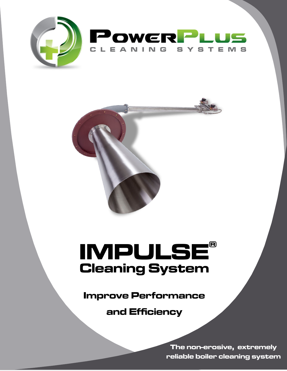



# **IMPULSE® Cleaning System**

**Improve Performance** 

and Efficiency

The non-erosive, extremely reliable boiler cleaning system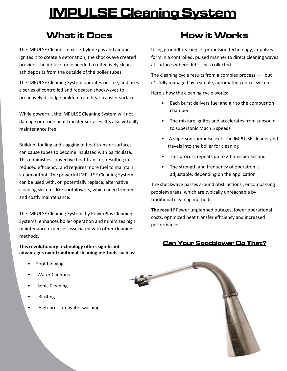## **IMPULSE Cleaning System**

## What it Does

The IMPULSE Cleaner mixes ethylene gas and air and ignites it to create a detonation, the shockwave created provides the motive force needed to effectively clean ash deposits from the outside of the boiler tubes.

The IMPULSE Cleaning System operates on-line, and uses a series of controlled and repeated shockwaves to proactively dislodge buildup from heat transfer surfaces.

While powerful, the IMPULSE Cleaning System will not damage or erode heat transfer surfaces. It's also virtually maintenance free.

Buildup, fouling and slagging of heat transfer surfaces can cause tubes to become insulated with particulate. This diminishes convective heat transfer, resulting in reduced efficiency, and requires more fuel to maintain steam output. The powerful IMPULSE Cleaning System can be used with, or potentially replace, alternative cleaning systems like sootblowers, which need frequent and costly maintenance.

The IMPULSE Cleaning System, by PowerPlus Cleaning Systems, enhances boiler operation and minimizes high maintenance expenses associated with other cleaning methods.

#### **This revolutionary technology offers significant advantages over traditional cleaning methods such as:**

#### Soot blowing

- Water Cannons
- Sonic Cleaning
- Blasting
- High-pressure water washing

## **How it Works**

Using groundbreaking jet propulsion technology, impulses form in a controlled, pulsed manner to direct cleaning waves at surfaces where debris has collected.

The cleaning cycle results from a complex process  $-$  but it's fully managed by a simple, automated control system.

Here's how the cleaning cycle works:

- Each burst delivers fuel and air to the combustion chamber
- The mixture ignites and accelerates from subsonic to supersonic Mach 5 speeds
- A supersonic impulse exits the IMPULSE cleaner and travels into the boiler for cleaning
- This process repeats up to 2 times per second
- The strength and frequency of operation is adjustable, depending on the application

The shockwave passes around obstructions , encompassing problem areas, which are typically unreachable by traditional cleaning methods.

**The result?** Fewer unplanned outages, lower operational costs, optimized heat transfer efficiency and increased performance.

#### **Can Your Sootblower Do That?**

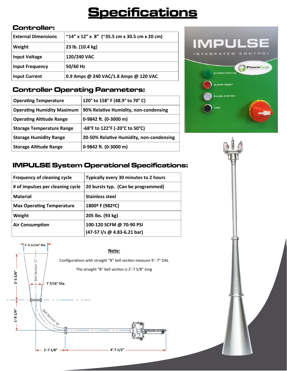## **Specifications**

#### **Controller:**

| <b>External Dimensions</b> | $~14''$ x 12" x 8" (~35.5 cm x 30.5 cm x 20 cm) |  |
|----------------------------|-------------------------------------------------|--|
| Weight                     | 23 lb. (10.4 kg)                                |  |
| <b>Input Voltage</b>       | 120/240 VAC                                     |  |
| <b>Input Frequency</b>     | 50/60 Hz                                        |  |
| <b>Input Current</b>       | 0.9 Amps @ 240 VAC/1.8 Amps @ 120 VAC           |  |

#### **Controller Operating Parameters:**

| <b>Operating Temperature</b>      | 120° to 158° F (48.9° to 70° C)          |
|-----------------------------------|------------------------------------------|
| <b>Operating Humidity Maximum</b> | 90% Relative Humidity, non-condensing    |
| <b>Operating Altitude Range</b>   | 0-9842 ft. (0-3000 m)                    |
| <b>Storage Temperature Range</b>  | -68°F to 122°F (-20°C to 50°C)           |
| <b>Storage Humidity Range</b>     | 20-50% Relative Humidity, non-condensing |
| <b>Storage Altitude Range</b>     | 0-9842 ft. (0-3000 m)                    |



### **IMPULSE System Operational Specifications:**

| Frequency of cleaning cycle      | Typically every 30 minutes to 2 hours                   |
|----------------------------------|---------------------------------------------------------|
| # of impulses per cleaning cycle | 20 bursts typ. (Can be programmed)                      |
| <b>Material</b>                  | <b>Stainless steel</b>                                  |
| <b>Max Operating Temperature</b> | 1800° F (982°C)                                         |
| Weight                           | 205 lbs. (93 kg)                                        |
| <b>Air Consumption</b>           | 100-120 SCFM @ 70-90 PSI<br>(47-57 l/s @ 4.83-6.21 bar) |